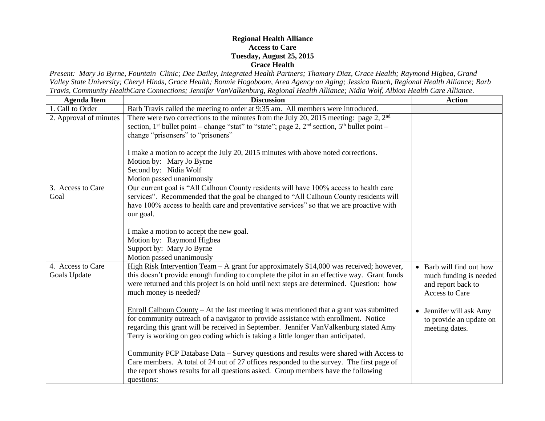## **Regional Health Alliance Access to Care Tuesday, August 25, 2015 Grace Health**

*Present: Mary Jo Byrne, Fountain Clinic; Dee Dailey, Integrated Health Partners; Thamary Diaz, Grace Health; Raymond Higbea, Grand Valley State University; Cheryl Hinds, Grace Health; Bonnie Hogoboom, Area Agency on Aging; Jessica Rauch, Regional Health Alliance; Barb Travis, Community HealthCare Connections; Jennifer VanValkenburg, Regional Health Alliance; Nidia Wolf, Albion Health Care Alliance.*

| <b>Agenda Item</b>                | <b>Discussion</b>                                                                                                                                                                                                                                                                                                                                                                                                                                                                                                                                                                                                                                                                                                                                                                                                                                                                                                                                                   | <b>Action</b>                                                                                                                                                      |
|-----------------------------------|---------------------------------------------------------------------------------------------------------------------------------------------------------------------------------------------------------------------------------------------------------------------------------------------------------------------------------------------------------------------------------------------------------------------------------------------------------------------------------------------------------------------------------------------------------------------------------------------------------------------------------------------------------------------------------------------------------------------------------------------------------------------------------------------------------------------------------------------------------------------------------------------------------------------------------------------------------------------|--------------------------------------------------------------------------------------------------------------------------------------------------------------------|
| 1. Call to Order                  | Barb Travis called the meeting to order at 9:35 am. All members were introduced.                                                                                                                                                                                                                                                                                                                                                                                                                                                                                                                                                                                                                                                                                                                                                                                                                                                                                    |                                                                                                                                                                    |
| 2. Approval of minutes            | There were two corrections to the minutes from the July 20, 2015 meeting: page 2, 2 <sup>nd</sup><br>section, 1 <sup>st</sup> bullet point – change "stat" to "state"; page 2, 2 <sup>nd</sup> section, 5 <sup>th</sup> bullet point –<br>change "prisonsers" to "prisoners"                                                                                                                                                                                                                                                                                                                                                                                                                                                                                                                                                                                                                                                                                        |                                                                                                                                                                    |
|                                   | I make a motion to accept the July 20, 2015 minutes with above noted corrections.<br>Motion by: Mary Jo Byrne<br>Second by: Nidia Wolf<br>Motion passed unanimously                                                                                                                                                                                                                                                                                                                                                                                                                                                                                                                                                                                                                                                                                                                                                                                                 |                                                                                                                                                                    |
| 3. Access to Care<br>Goal         | Our current goal is "All Calhoun County residents will have 100% access to health care<br>services". Recommended that the goal be changed to "All Calhoun County residents will<br>have 100% access to health care and preventative services" so that we are proactive with<br>our goal.<br>I make a motion to accept the new goal.<br>Motion by: Raymond Higbea<br>Support by: Mary Jo Byrne<br>Motion passed unanimously                                                                                                                                                                                                                                                                                                                                                                                                                                                                                                                                          |                                                                                                                                                                    |
| 4. Access to Care<br>Goals Update | High Risk Intervention Team $-A$ grant for approximately \$14,000 was received; however,<br>this doesn't provide enough funding to complete the pilot in an effective way. Grant funds<br>were returned and this project is on hold until next steps are determined. Question: how<br>much money is needed?<br>Enroll Calhoun County – At the last meeting it was mentioned that a grant was submitted<br>for community outreach of a navigator to provide assistance with enrollment. Notice<br>regarding this grant will be received in September. Jennifer VanValkenburg stated Amy<br>Terry is working on geo coding which is taking a little longer than anticipated.<br>Community PCP Database Data - Survey questions and results were shared with Access to<br>Care members. A total of 24 out of 27 offices responded to the survey. The first page of<br>the report shows results for all questions asked. Group members have the following<br>questions: | • Barb will find out how<br>much funding is needed<br>and report back to<br>Access to Care<br>• Jennifer will ask Amy<br>to provide an update on<br>meeting dates. |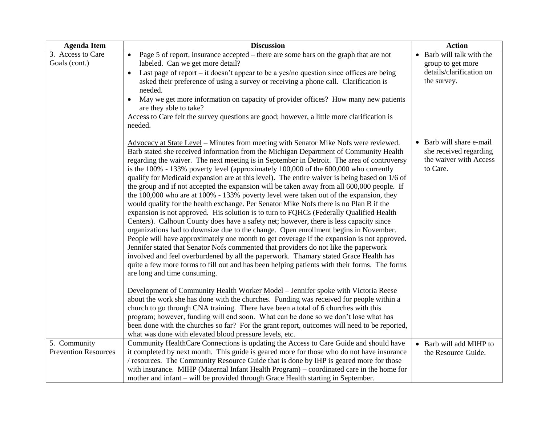| <b>Agenda Item</b>                          | <b>Discussion</b>                                                                                                                                                                                                                                                                                                                                                                                                                                                                                                                                                                                                                                                                                                                                                                                                                                                                                                                                                                                                                                                                                                                                                                                                                                                                                                                                                                                                                                                                                                                      | <b>Action</b>                                                                             |
|---------------------------------------------|----------------------------------------------------------------------------------------------------------------------------------------------------------------------------------------------------------------------------------------------------------------------------------------------------------------------------------------------------------------------------------------------------------------------------------------------------------------------------------------------------------------------------------------------------------------------------------------------------------------------------------------------------------------------------------------------------------------------------------------------------------------------------------------------------------------------------------------------------------------------------------------------------------------------------------------------------------------------------------------------------------------------------------------------------------------------------------------------------------------------------------------------------------------------------------------------------------------------------------------------------------------------------------------------------------------------------------------------------------------------------------------------------------------------------------------------------------------------------------------------------------------------------------------|-------------------------------------------------------------------------------------------|
| 3. Access to Care<br>Goals (cont.)          | Page 5 of report, insurance accepted – there are some bars on the graph that are not<br>labeled. Can we get more detail?<br>Last page of report – it doesn't appear to be a yes/no question since offices are being<br>$\bullet$<br>asked their preference of using a survey or receiving a phone call. Clarification is<br>needed.<br>May we get more information on capacity of provider offices? How many new patients<br>are they able to take?<br>Access to Care felt the survey questions are good; however, a little more clarification is<br>needed.                                                                                                                                                                                                                                                                                                                                                                                                                                                                                                                                                                                                                                                                                                                                                                                                                                                                                                                                                                           | • Barb will talk with the<br>group to get more<br>details/clarification on<br>the survey. |
|                                             | Advocacy at State Level – Minutes from meeting with Senator Mike Nofs were reviewed.<br>Barb stated she received information from the Michigan Department of Community Health<br>regarding the waiver. The next meeting is in September in Detroit. The area of controversy<br>is the 100% - 133% poverty level (approximately 100,000 of the 600,000 who currently<br>qualify for Medicaid expansion are at this level). The entire waiver is being based on 1/6 of<br>the group and if not accepted the expansion will be taken away from all 600,000 people. If<br>the 100,000 who are at 100% - 133% poverty level were taken out of the expansion, they<br>would qualify for the health exchange. Per Senator Mike Nofs there is no Plan B if the<br>expansion is not approved. His solution is to turn to FQHCs (Federally Qualified Health<br>Centers). Calhoun County does have a safety net; however, there is less capacity since<br>organizations had to downsize due to the change. Open enrollment begins in November.<br>People will have approximately one month to get coverage if the expansion is not approved.<br>Jennifer stated that Senator Nofs commented that providers do not like the paperwork<br>involved and feel overburdened by all the paperwork. Thamary stated Grace Health has<br>quite a few more forms to fill out and has been helping patients with their forms. The forms<br>are long and time consuming.<br>Development of Community Health Worker Model - Jennifer spoke with Victoria Reese | • Barb will share e-mail<br>she received regarding<br>the waiver with Access<br>to Care.  |
|                                             | about the work she has done with the churches. Funding was received for people within a<br>church to go through CNA training. There have been a total of 6 churches with this<br>program; however, funding will end soon. What can be done so we don't lose what has<br>been done with the churches so far? For the grant report, outcomes will need to be reported,<br>what was done with elevated blood pressure levels, etc.                                                                                                                                                                                                                                                                                                                                                                                                                                                                                                                                                                                                                                                                                                                                                                                                                                                                                                                                                                                                                                                                                                        |                                                                                           |
| 5. Community<br><b>Prevention Resources</b> | Community HealthCare Connections is updating the Access to Care Guide and should have<br>it completed by next month. This guide is geared more for those who do not have insurance<br>/ resources. The Community Resource Guide that is done by IHP is geared more for those<br>with insurance. MIHP (Maternal Infant Health Program) - coordinated care in the home for<br>mother and infant – will be provided through Grace Health starting in September.                                                                                                                                                                                                                                                                                                                                                                                                                                                                                                                                                                                                                                                                                                                                                                                                                                                                                                                                                                                                                                                                           | • Barb will add MIHP to<br>the Resource Guide.                                            |